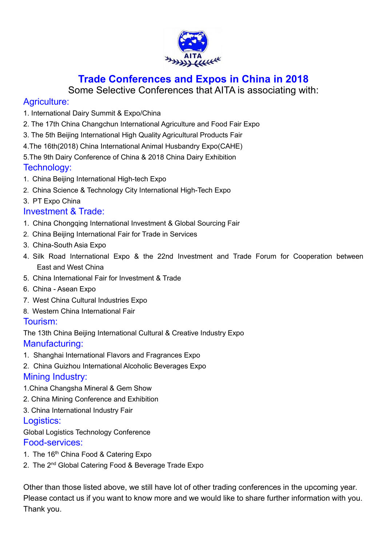

## **Trade Conferences and Expos in China in 2018**

Some Selective Conferences that AITA is associating with:

## Agriculture:

- 1. International Dairy Summit & Expo/China
- 2. The 17th China Changchun International Agriculture and Food Fair Expo
- 3. The 5th Beijing International High Quality Agricultural Products Fair
- 4.The 16th(2018) China International Animal Husbandry Expo(CAHE)
- 5.The 9th Dairy Conference of China & 2018 China Dairy Exhibition

## Technology:

- 1. China Beijing International High-tech Expo
- 2. China Science & Technology City International High-Tech Expo
- 3. PT Expo China

## Investment & Trade:

- 1. China Chongqing International Investment & Global Sourcing Fair
- 2. China Beijing International Fair for Trade in Services
- 3. China-South Asia Expo
- 4. Silk Road International Expo & the 22nd Investment and Trade Forum for Cooperation between East and West China
- 5. China International Fair for Investment & Trade
- 6. China Asean Expo
- 7. West China Cultural Industries Expo
- 8. Western China International Fair

## Tourism:

The 13th China Beijing International Cultural & Creative Industry Expo Manufacturing:

- 1. Shanghai International Flavors and Fragrances Expo
- 2. China Guizhou International Alcoholic Beverages Expo Mining Industry:
- 1.China Changsha Mineral & Gem Show
- 2. China Mining Conference and Exhibition
- 3. China International Industry Fair

## Logistics:

Global Logistics Technology Conference

## Food-services:

- 1. The 16<sup>th</sup> China Food & Catering Expo
- 2. The 2<sup>nd</sup> Global Catering Food & Beverage Trade Expo

Other than those listed above, we still have lot of other trading conferences in the upcoming year. Please contact us if you want to know more and we would like to share further information with you. Thank you.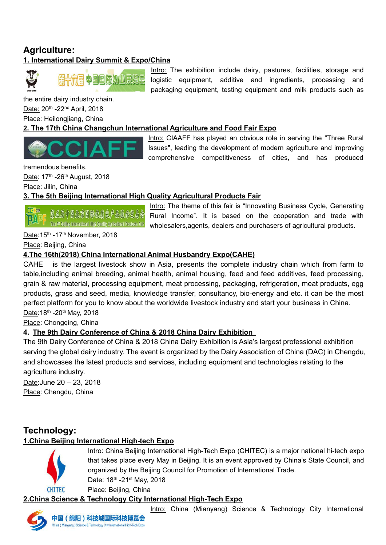## **Agriculture: 1. International Dairy Summit & Expo/China**



the entire dairy industry chain. <u>Date:</u> 20<sup>th</sup> -22<sup>nd</sup> April, 2018 Place: Heilongjiang, China

Intro: The exhibition include dairy, pastures, facilities, storage and logistic equipment, additive and ingredients, processing and packaging equipment, testing equipment and milk products such as

#### **2. The 17th China Changchun InternationalAgriculture and Food Fair Expo**

Intro: CIAAFF has played an obvious role in serving the "Three Rural Issues", leading the development of modern agriculture and improving comprehensive competitiveness of cities, and has produced

tremendous benefits.

<u>Date</u>: 17<sup>th</sup> -26<sup>th</sup> August, 2018

Place: Jilin, China

#### **3. The 5th Beijing International High Quality Agricultural Products Fair**

Intro: The theme of this fair is "Innovating Business Cycle, Generating Rural Income". It is based on the cooperation and trade with wholesalers,agents, dealers and purchasers of agricultural products.

<u>Date</u>:15<sup>th</sup> -17<sup>th</sup> November, 2018

Place: Beijing, China

### **4.The 16th(2018) China International Animal Husbandry Expo(CAHE)**

CAHE is the largest livestock show in Asia, presents the complete industry chain which from farm to table,including animal breeding, animal health, animal housing, feed and feed additives, feed processing, grain & raw material, processing equipment, meat processing, packaging, refrigeration, meat products, egg products, grass and seed, media, knowledge transfer, consultancy, bio-energy and etc. it can be the most perfect platform for you to know about the worldwide livestock industry and start your business in China.<u>Date</u>:18<sup>th</sup> -20<sup>th</sup> May, 2018

Place: Chongqing, China

## **4. The 9th Dairy Conference of China & 2018 China Dairy Exhibition**

The 9th Dairy Conference of China & 2018 China Dairy Exhibition is Asia's largest professional exhibition serving the global dairy industry. The event is organized by the Dairy Association of China (DAC) in Chengdu, and showcases the latest products and services, including equipment and technologies relating to the agriculture industry.

Date:June 20 – 23, 2018 Place: Chengdu, China

## **Technology:**

#### **1.China Beijing International High-tech Expo**



Intro: China Beijing International High-Tech Expo (CHITEC) is a major national hi-tech expo that takes place every May in Beijing. It is an event approved by China's State Council, and organized by the Beijing Council for Promotion of International Trade. <u>Date:</u> 18<sup>th</sup> -21<sup>st</sup> May, 2018 Place: Beijing, China

#### **2.China Science & Technology City International High-Tech Expo**

Intro: China (Mianyang) Science & Technology City International

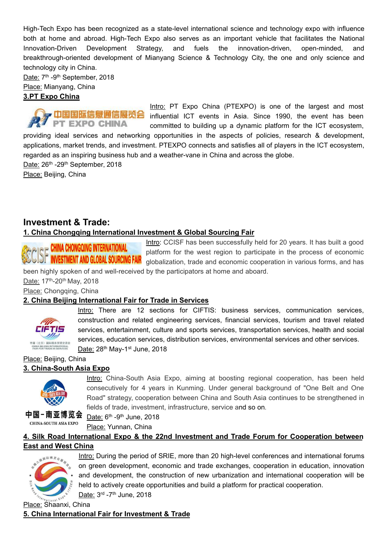High-Tech Expo has been recognized as a state-level international science and technology expo with influence both at home and abroad. High-Tech Expo also serves as an important vehicle that facilitates the National Innovation-Driven Development Strategy, and fuels the innovation-driven, open-minded, and breakthrough-oriented development of Mianyang Science & Technology City, the one and only science and technology city in China.<br><u>Date:</u> 7<sup>th</sup> -9<sup>th</sup> September, 2018

Place: Mianyang, China

#### **3.PT Expo China**

Intro: PT Expo China (PTEXPO) is one of the largest and most 乡 中国国际信息通信展览会 influential ICT events in Asia. Since 1990, the event has been **EXPO CHINA** PT committed to building up a dynamic platform for the ICT ecosystem, providing ideal services and networking opportunities in the aspects of policies, research & development, applications, market trends, and investment. PTEXPO connects and satisfies all of players in the ICT ecosystem, regarded as an inspiring business hub and a weather-vane in China and across the globe. <u>Date:</u> 26<sup>th</sup> -29<sup>th</sup> September, 2018

Place: Beijing, China

## **Investment & Trade:**

#### **1. China Chongqing International Investment & Global Sourcing Fair**

**P P CHINA CHONGQING INTERNATIONAL** 

Intro: CCISF has been successfully held for 20 years. It has built a good platform for the west region to participate in the process of economic **GIST INVESTMENT AND GLOBAL SOURCING FAIR** globalization, trade and economic cooperation in various forms, and has been highly spoken of and well-received by the participators at home and aboard.

<u>Date:</u> 17<sup>th</sup>-20<sup>th</sup> May, 2018

Place: Chongqing, China

#### **2. China Beijing International Fair for Trade in Services**



Intro: There are 12 sections for CIFTIS: business services, communication services, construction and related engineering services, financial services, tourism and travel related services, entertainment, culture and sports services, transportation services, health and social services, education services, distribution services, environmental services and other services. <u>Date:</u> 28<sup>th</sup> May-1<sup>st</sup> June, 2018

#### Place: Beijing, China **3. China-South Asia Expo**



Intro: China-South Asia Expo, aiming at boosting regional cooperation, has been held consecutively for 4 years in Kunming. Under general background of "One Belt and One Road" strategy, cooperation between China and South Asia continues to be strengthened in fields of trade, investment, infrastructure, service and so on.

中国-南亚博览会 CHINA-SOUTH ASIA EXPO

<u>Date:</u> 6<sup>th</sup> -9<sup>th</sup> June, 2018

Place: Yunnan, China

#### **4. Silk Road InternationalExpo & the 22nd Investment and Trade Forum for Cooperation between East and West China**



Intro: During the period of SRIE, more than 20 high-level conferences and international forums on green development, economic and trade exchanges, cooperation in education, innovation and development, the construction of new urbanization and international cooperation will be held to actively create opportunities and build a platform for practical cooperation. <u>Date:</u> 3<sup>rd</sup> -7<sup>th</sup> June, 2018

Place: Shaanxi, China **5. China International Fair for Investment & Trade**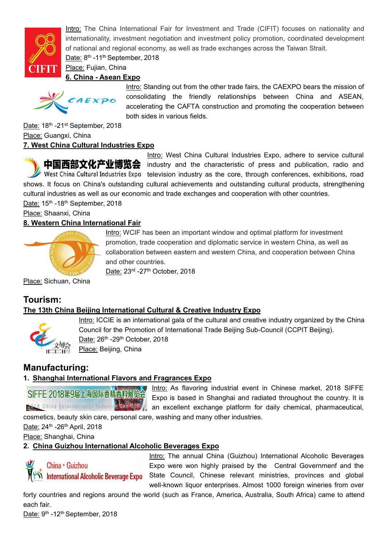

Intro: The China International Fair for Investment and Trade (CIFIT) focuses on nationality and internationality, investment negotiation and investment policy promotion, coordinated development of national and regional economy, as well as trade exchanges across the Taiwan Strait. <u>Date:</u> 8<sup>th</sup> -11<sup>th</sup> September, 2018

Place: Fujian, China

### **6. China - Asean Expo**



Intro: Standing out from the other trade fairs, the CAEXPO bears the mission of consolidating the friendly relationships between China and ASEAN, accelerating the CAFTA construction and promoting the cooperation between both sides in various fields.

<u>Date:</u> 18<sup>th</sup> -21<sup>st</sup> September, 2018 Place: Guangxi, China **7. West China Cultural Industries Expo**

Intro: West China Cultural Industries Expo, adhere to service cultural 中国西部文化产业博览会 industry and the characteristic of press and publication, radio and West China Cultural Industries Expo television industry as the core, through conferences, exhibitions, road shows. It focus on China's outstanding cultural achievements and outstanding cultural products, strengthening cultural industries as well as our economic and trade exchanges and cooperation with other countries.

<u>Date:</u> 15<sup>th</sup> -18<sup>th</sup> September, 2018 Place: Shaanxi, China

#### **8. Western China International Fair**



Place: Sichuan, China

## **Tourism:**

#### **The 13th China Beijing International Cultural & Creative Industry Expo**



Intro: ICCIE is an international gala of the cultural and creative industry organized by the China Council for the Promotion of International Trade Beijing Sub-Council (CCPIT Beijing). <u>Date:</u> 26<sup>th</sup> -29<sup>th</sup> October, 2018 Place: Beijing, China

## **Manufacturing:**

#### **1. Shanghai International Flavors and Fragrances Expo**

# SIFFE 2018第9届上海国际香精香料展览会

Intro: As flavoring industrial event in Chinese market, 2018 SIFFE Expo is based in Shanghai and radiated throughout the country. It is **2018 China International Industry Extractly** an excellent exchange platform for daily chemical, pharmaceutical,

cosmetics, beauty skin care, personal care, washing and many other industries.

<u>Date:</u> 24<sup>th</sup> -26<sup>th</sup> April, 2018

Place: Shanghai, China

#### **2. China Guizhou International Alcoholic Beverages Expo**



Intro: The annual China (Guizhou) International Alcoholic Beverages Expo were won highly praised by the Central Governmenf and the **W** International Alcoholic Beverage Expo State Council, Chinese relevant ministries, provinces and global well-known liquor enterprises. Almost 1000 foreign wineries from over

forty countries and regions around the world (such as France, America, Australia, South Africa) came to attend each fair.

<u>Date:</u> 9<sup>th</sup> -12<sup>th</sup> September, 2018

Intro: WCIF has been an important window and optimal platform for investment promotion, trade cooperation and diplomatic service in western China, as well as collaboration between eastern and western China, and cooperation between China and other countries.

Date: 23<sup>rd</sup> -27<sup>th</sup> October, 2018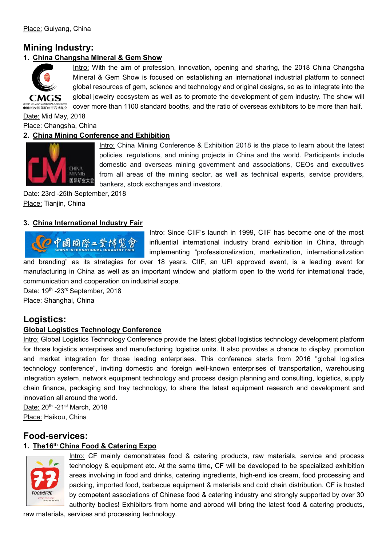## **Mining Industry:**

#### **1. China Changsha Mineral & Gem Show**



Intro: With the aim of profession, innovation, opening and sharing, the 2018 China Changsha Mineral & Gem Show is focused on establishing an international industrial platform to connect global resources of gem, science and technology and original designs, so as to integrate into the global jewelry ecosystem as well as to promote the development of gem industry. The show will COVER MARIAN ARREAN BRAN 2GHAN 2GHAN 2GHAN 2GHAN 2GHAN 2GHAN 2GHAN 2GHAN 2GHAN 2GHAN 2GHAN 2GHAN 110 STAND 2GHAN 110

Date: Mid May, 2018

Place: Changsha, China

#### **2. China Mining Conference and Exhibition**



Intro: China Mining Conference & Exhibition 2018 is the place to learn about the latest policies, regulations, and mining projects in China and the world. Participants include domestic and overseas mining government and associations, CEOs and executives from all areas of the mining sector, as well as technical experts, service providers, bankers, stock exchanges and investors.

Date: 23rd -25th September, 2018 Place: Tianjin, China

#### **3. China International Industry Fair**



Intro: Since CIIF's launch in 1999. CIIF has become one of the most influential international industry brand exhibition in China, through implementing "professionalization, marketization, internationalization

and branding" as its strategies for over 18 years. CIIF, an UFI approved event, is a leading event for manufacturing in China as well as an important window and platform open to the world for international trade, communication and cooperation on industrial scope.

<u>Date:</u> 19<sup>th</sup> -23<sup>rd</sup> September, 2018

Place: Shanghai, China

## **Logistics:**

#### **Global Logistics Technology Conference**

Intro: Global Logistics Technology Conference provide the latest global logistics technology development platform for those logistics enterprises and manufacturing logistics units. It also provides a chance to display, promotion and market integration for those leading enterprises. This conference starts from 2016 "global logistics technology conference", inviting domestic and foreign well-known enterprises of transportation, warehousing integration system, network equipment technology and process design planning and consulting, logistics, supply chain finance, packaging and tray technology, to share the latest equipment research and development and innovation all around the world.

<u>Date:</u> 20<sup>th</sup> -21<sup>st</sup> March, 2018 Place: Haikou, China

## **Food-services:**

#### **1. The16 th China Food & Catering Expo**



Intro: CF mainly demonstrates food & catering products, raw materials, service and process technology & equipment etc. At the same time, CF will be developed to be specialized exhibition areas involving in food and drinks, catering ingredients, high-end ice cream, food processing and packing, imported food, barbecue equipment & materials and cold chain distribution. CF is hosted by competent associations of Chinese food & catering industry and strongly supported by over 30 authority bodies! Exhibitors from home and abroad will bring the latest food & catering products,

raw materials, services and processing technology.